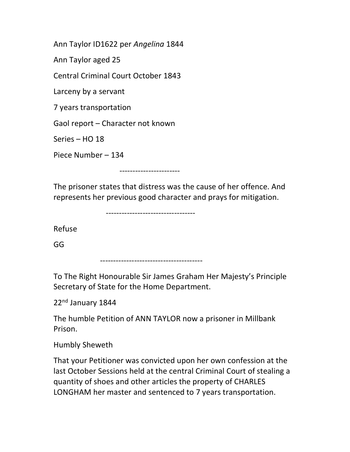Ann Taylor ID1622 per Angelina 1844

Ann Taylor aged 25

Central Criminal Court October 1843

Larceny by a servant

7 years transportation

Gaol report – Character not known

Series – HO 18

Piece Number – 134

-----------------------

The prisoner states that distress was the cause of her offence. And represents her previous good character and prays for mitigation.

----------------------------------

Refuse

GG

---------------------------------------

To The Right Honourable Sir James Graham Her Majesty's Principle Secretary of State for the Home Department.

22<sup>nd</sup> January 1844

The humble Petition of ANN TAYLOR now a prisoner in Millbank Prison.

Humbly Sheweth

That your Petitioner was convicted upon her own confession at the last October Sessions held at the central Criminal Court of stealing a quantity of shoes and other articles the property of CHARLES LONGHAM her master and sentenced to 7 years transportation.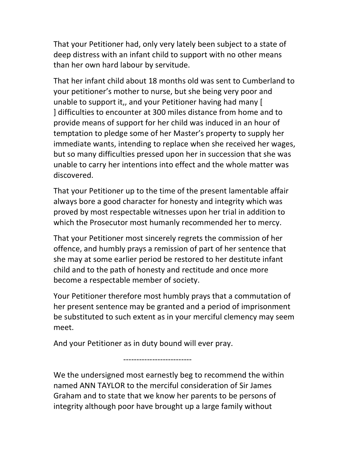That your Petitioner had, only very lately been subject to a state of deep distress with an infant child to support with no other means than her own hard labour by servitude.

That her infant child about 18 months old was sent to Cumberland to your petitioner's mother to nurse, but she being very poor and unable to support it,, and your Petitioner having had many [ ] difficulties to encounter at 300 miles distance from home and to provide means of support for her child was induced in an hour of temptation to pledge some of her Master's property to supply her immediate wants, intending to replace when she received her wages, but so many difficulties pressed upon her in succession that she was unable to carry her intentions into effect and the whole matter was discovered.

That your Petitioner up to the time of the present lamentable affair always bore a good character for honesty and integrity which was proved by most respectable witnesses upon her trial in addition to which the Prosecutor most humanly recommended her to mercy.

That your Petitioner most sincerely regrets the commission of her offence, and humbly prays a remission of part of her sentence that she may at some earlier period be restored to her destitute infant child and to the path of honesty and rectitude and once more become a respectable member of society.

Your Petitioner therefore most humbly prays that a commutation of her present sentence may be granted and a period of imprisonment be substituted to such extent as in your merciful clemency may seem meet.

And your Petitioner as in duty bound will ever pray.

--------------------------

We the undersigned most earnestly beg to recommend the within named ANN TAYLOR to the merciful consideration of Sir James Graham and to state that we know her parents to be persons of integrity although poor have brought up a large family without